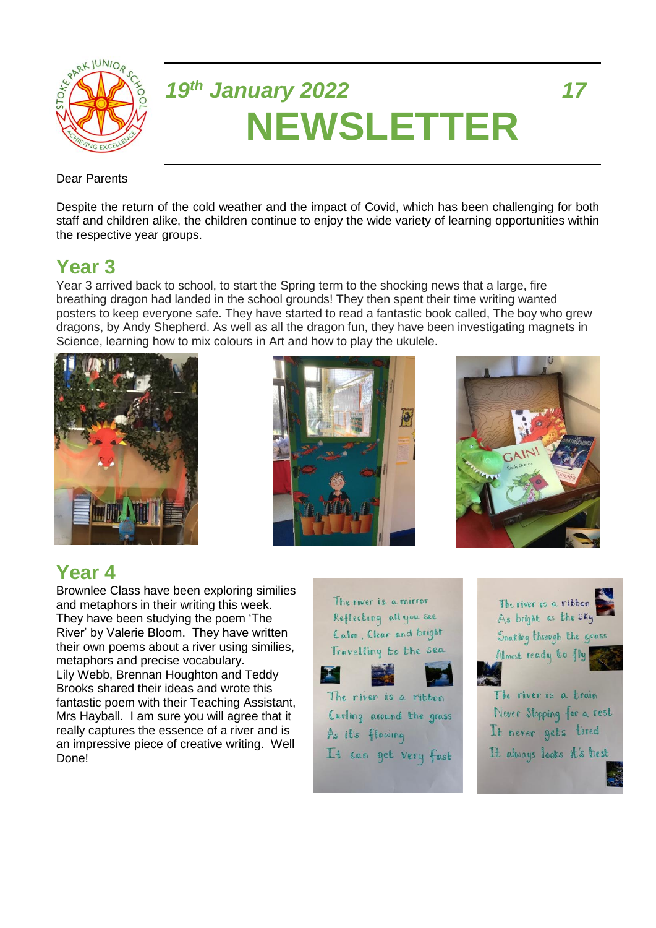

# *19th January 2022 17* **NEWSLETTER**

#### Dear Parents

Despite the return of the cold weather and the impact of Covid, which has been challenging for both staff and children alike, the children continue to enjoy the wide variety of learning opportunities within the respective year groups.

#### **Year 3**

Year 3 arrived back to school, to start the Spring term to the shocking news that a large, fire breathing dragon had landed in the school grounds! They then spent their time writing wanted posters to keep everyone safe. They have started to read a fantastic book called, The boy who grew dragons, by Andy Shepherd. As well as all the dragon fun, they have been investigating magnets in Science, learning how to mix colours in Art and how to play the ukulele.







# **Year 4**

Brownlee Class have been exploring similies and metaphors in their writing this week. They have been studying the poem 'The River' by Valerie Bloom. They have written their own poems about a river using similies, metaphors and precise vocabulary. Lily Webb, Brennan Houghton and Teddy Brooks shared their ideas and wrote this fantastic poem with their Teaching Assistant, Mrs Hayball. I am sure you will agree that it really captures the essence of a river and is an impressive piece of creative writing. Well Done!

The river is a mirror Reflecting all you see Calm Clear and bright Travelling to the sea







It always looks it's best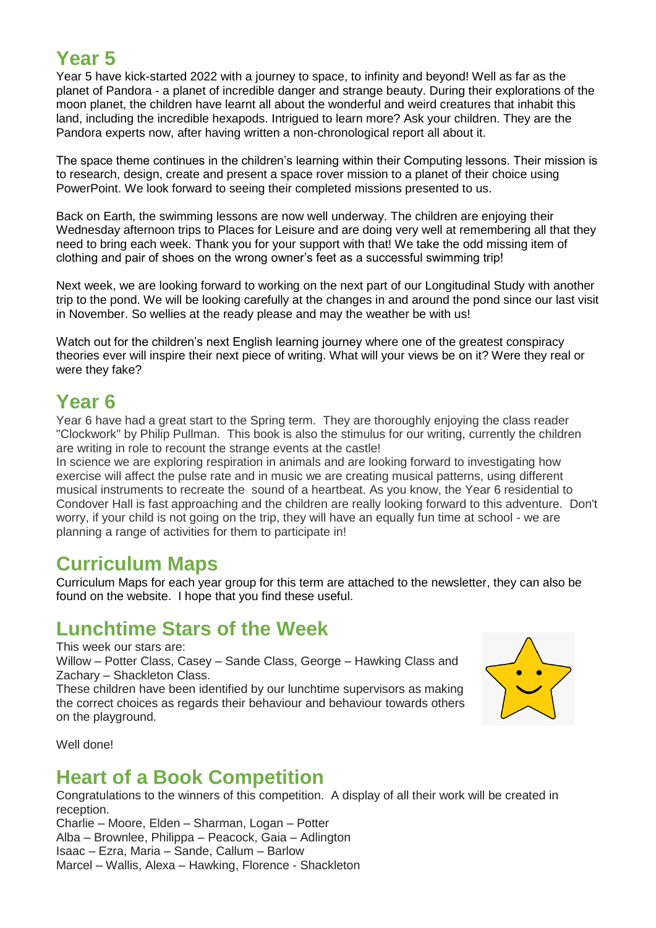# **Year 5**

Year 5 have kick-started 2022 with a journey to space, to infinity and beyond! Well as far as the planet of Pandora - a planet of incredible danger and strange beauty. During their explorations of the moon planet, the children have learnt all about the wonderful and weird creatures that inhabit this land, including the incredible hexapods. Intrigued to learn more? Ask your children. They are the Pandora experts now, after having written a non-chronological report all about it.

The space theme continues in the children's learning within their Computing lessons. Their mission is to research, design, create and present a space rover mission to a planet of their choice using PowerPoint. We look forward to seeing their completed missions presented to us.

Back on Earth, the swimming lessons are now well underway. The children are enjoying their Wednesday afternoon trips to Places for Leisure and are doing very well at remembering all that they need to bring each week. Thank you for your support with that! We take the odd missing item of clothing and pair of shoes on the wrong owner's feet as a successful swimming trip!

Next week, we are looking forward to working on the next part of our Longitudinal Study with another trip to the pond. We will be looking carefully at the changes in and around the pond since our last visit in November. So wellies at the ready please and may the weather be with us!

Watch out for the children's next English learning journey where one of the greatest conspiracy theories ever will inspire their next piece of writing. What will your views be on it? Were they real or were they fake?

#### **Year 6**

Year 6 have had a great start to the Spring term. They are thoroughly enjoying the class reader "Clockwork" by Philip Pullman. This book is also the stimulus for our writing, currently the children are writing in role to recount the strange events at the castle!

In science we are exploring respiration in animals and are looking forward to investigating how exercise will affect the pulse rate and in music we are creating musical patterns, using different musical instruments to recreate the sound of a heartbeat. As you know, the Year 6 residential to Condover Hall is fast approaching and the children are really looking forward to this adventure. Don't worry, if your child is not going on the trip, they will have an equally fun time at school - we are planning a range of activities for them to participate in!

#### **Curriculum Maps**

Curriculum Maps for each year group for this term are attached to the newsletter, they can also be found on the website. I hope that you find these useful.

#### **Lunchtime Stars of the Week**

This week our stars are: Willow – Potter Class, Casey – Sande Class, George – Hawking Class and Zachary – Shackleton Class. These children have been identified by our lunchtime supervisors as making the correct choices as regards their behaviour and behaviour towards others



Well done!

on the playground.

#### **Heart of a Book Competition**

Congratulations to the winners of this competition. A display of all their work will be created in reception.

Charlie – Moore, Elden – Sharman, Logan – Potter Alba – Brownlee, Philippa – Peacock, Gaia – Adlington Isaac – Ezra, Maria – Sande, Callum – Barlow Marcel – Wallis, Alexa – Hawking, Florence - Shackleton